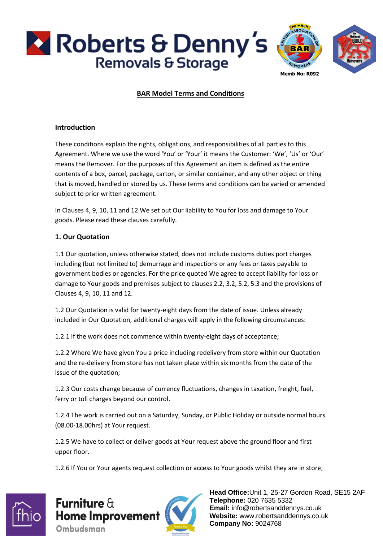



# **BAR Model Terms and Conditions**

#### **Introduction**

These conditions explain the rights, obligations, and responsibilities of all parties to this Agreement. Where we use the word 'You' or 'Your' it means the Customer: 'We', 'Us' or 'Our' means the Remover. For the purposes of this Agreement an item is defined as the entire contents of a box, parcel, package, carton, or similar container, and any other object or thing that is moved, handled or stored by us. These terms and conditions can be varied or amended subject to prior written agreement.

In Clauses 4, 9, 10, 11 and 12 We set out Our liability to You for loss and damage to Your goods. Please read these clauses carefully.

#### **1. Our Quotation**

1.1 Our quotation, unless otherwise stated, does not include customs duties port charges including (but not limited to) demurrage and inspections or any fees or taxes payable to government bodies or agencies. For the price quoted We agree to accept liability for loss or damage to Your goods and premises subject to clauses 2.2, 3.2, 5.2, 5.3 and the provisions of Clauses 4, 9, 10, 11 and 12.

1.2 Our Quotation is valid for twenty-eight days from the date of issue. Unless already included in Our Quotation, additional charges will apply in the following circumstances:

1.2.1 If the work does not commence within twenty-eight days of acceptance;

1.2.2 Where We have given You a price including redelivery from store within our Quotation and the re-delivery from store has not taken place within six months from the date of the issue of the quotation;

1.2.3 Our costs change because of currency fluctuations, changes in taxation, freight, fuel, ferry or toll charges beyond our control.

1.2.4 The work is carried out on a Saturday, Sunday, or Public Holiday or outside normal hours (08.00-18.00hrs) at Your request.

1.2.5 We have to collect or deliver goods at Your request above the ground floor and first upper floor.

1.2.6 If You or Your agents request collection or access to Your goods whilst they are in store;



Furniture  $\theta$ **Home Improvement** Ombudsman

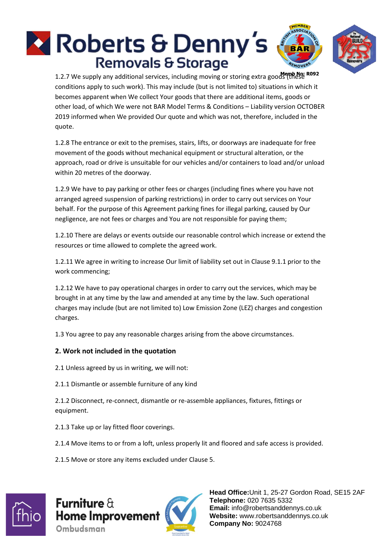# **Roberts & Denny's Removals & Storage**





1.2.7 We supply any additional services, including moving or storing extra goods (these conditions apply to such work). This may include (but is not limited to) situations in which it becomes apparent when We collect Your goods that there are additional items, goods or other load, of which We were not BAR Model Terms & Conditions – Liability version OCTOBER 2019 informed when We provided Our quote and which was not, therefore, included in the quote.

1.2.8 The entrance or exit to the premises, stairs, lifts, or doorways are inadequate for free movement of the goods without mechanical equipment or structural alteration, or the approach, road or drive is unsuitable for our vehicles and/or containers to load and/or unload within 20 metres of the doorway.

1.2.9 We have to pay parking or other fees or charges (including fines where you have not arranged agreed suspension of parking restrictions) in order to carry out services on Your behalf. For the purpose of this Agreement parking fines for illegal parking, caused by Our negligence, are not fees or charges and You are not responsible for paying them;

1.2.10 There are delays or events outside our reasonable control which increase or extend the resources or time allowed to complete the agreed work.

1.2.11 We agree in writing to increase Our limit of liability set out in Clause 9.1.1 prior to the work commencing;

1.2.12 We have to pay operational charges in order to carry out the services, which may be brought in at any time by the law and amended at any time by the law. Such operational charges may include (but are not limited to) Low Emission Zone (LEZ) charges and congestion charges.

1.3 You agree to pay any reasonable charges arising from the above circumstances.

# **2. Work not included in the quotation**

2.1 Unless agreed by us in writing, we will not:

2.1.1 Dismantle or assemble furniture of any kind

2.1.2 Disconnect, re-connect, dismantle or re-assemble appliances, fixtures, fittings or equipment.

2.1.3 Take up or lay fitted floor coverings.

2.1.4 Move items to or from a loft, unless properly lit and floored and safe access is provided.

2.1.5 Move or store any items excluded under Clause 5.



Furniture  $\theta$ **Home Improvement** Ombudsman

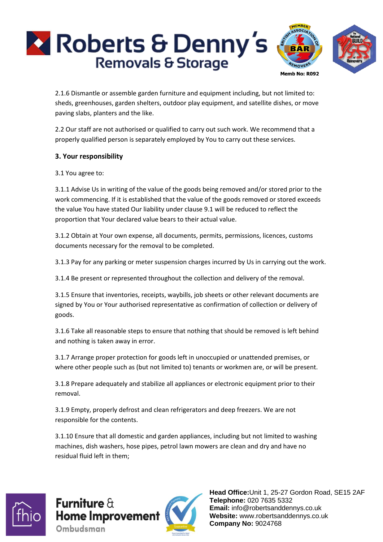

2.1.6 Dismantle or assemble garden furniture and equipment including, but not limited to: sheds, greenhouses, garden shelters, outdoor play equipment, and satellite dishes, or move paving slabs, planters and the like.

2.2 Our staff are not authorised or qualified to carry out such work. We recommend that a properly qualified person is separately employed by You to carry out these services.

#### **3. Your responsibility**

3.1 You agree to:

3.1.1 Advise Us in writing of the value of the goods being removed and/or stored prior to the work commencing. If it is established that the value of the goods removed or stored exceeds the value You have stated Our liability under clause 9.1 will be reduced to reflect the proportion that Your declared value bears to their actual value.

3.1.2 Obtain at Your own expense, all documents, permits, permissions, licences, customs documents necessary for the removal to be completed.

3.1.3 Pay for any parking or meter suspension charges incurred by Us in carrying out the work.

3.1.4 Be present or represented throughout the collection and delivery of the removal.

3.1.5 Ensure that inventories, receipts, waybills, job sheets or other relevant documents are signed by You or Your authorised representative as confirmation of collection or delivery of goods.

3.1.6 Take all reasonable steps to ensure that nothing that should be removed is left behind and nothing is taken away in error.

3.1.7 Arrange proper protection for goods left in unoccupied or unattended premises, or where other people such as (but not limited to) tenants or workmen are, or will be present.

3.1.8 Prepare adequately and stabilize all appliances or electronic equipment prior to their removal.

3.1.9 Empty, properly defrost and clean refrigerators and deep freezers. We are not responsible for the contents.

3.1.10 Ensure that all domestic and garden appliances, including but not limited to washing machines, dish washers, hose pipes, petrol lawn mowers are clean and dry and have no residual fluid left in them;



**Furniture**  $\theta$ **Home Improvement** Ombudsman

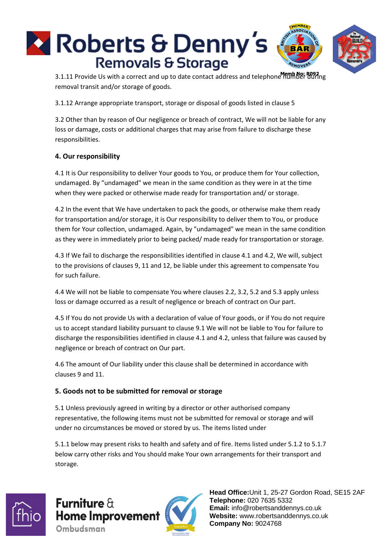

3.1.11 Provide Us with a correct and up to date contact address and telephone number during removal transit and/or storage of goods.

3.1.12 Arrange appropriate transport, storage or disposal of goods listed in clause 5

3.2 Other than by reason of Our negligence or breach of contract, We will not be liable for any loss or damage, costs or additional charges that may arise from failure to discharge these responsibilities.

# **4. Our responsibility**

4.1 It is Our responsibility to deliver Your goods to You, or produce them for Your collection, undamaged. By "undamaged" we mean in the same condition as they were in at the time when they were packed or otherwise made ready for transportation and/ or storage.

4.2 In the event that We have undertaken to pack the goods, or otherwise make them ready for transportation and/or storage, it is Our responsibility to deliver them to You, or produce them for Your collection, undamaged. Again, by "undamaged" we mean in the same condition as they were in immediately prior to being packed/ made ready for transportation or storage.

4.3 If We fail to discharge the responsibilities identified in clause 4.1 and 4.2, We will, subject to the provisions of clauses 9, 11 and 12, be liable under this agreement to compensate You for such failure.

4.4 We will not be liable to compensate You where clauses 2.2, 3.2, 5.2 and 5.3 apply unless loss or damage occurred as a result of negligence or breach of contract on Our part.

4.5 If You do not provide Us with a declaration of value of Your goods, or if You do not require us to accept standard liability pursuant to clause 9.1 We will not be liable to You for failure to discharge the responsibilities identified in clause 4.1 and 4.2, unless that failure was caused by negligence or breach of contract on Our part.

4.6 The amount of Our liability under this clause shall be determined in accordance with clauses 9 and 11.

# **5. Goods not to be submitted for removal or storage**

5.1 Unless previously agreed in writing by a director or other authorised company representative, the following items must not be submitted for removal or storage and will under no circumstances be moved or stored by us. The items listed under

5.1.1 below may present risks to health and safety and of fire. Items listed under 5.1.2 to 5.1.7 below carry other risks and You should make Your own arrangements for their transport and storage.



**Furniture**  $\theta$ **Home Improvement** Ombudsman

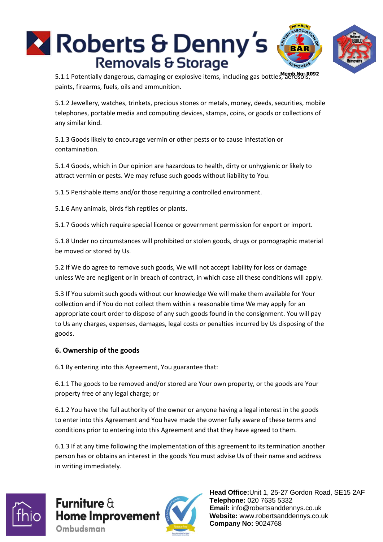

5.1.1 Potentially dangerous, damaging or explosive items, including gas bottles, aerosols, paints, firearms, fuels, oils and ammunition.

5.1.2 Jewellery, watches, trinkets, precious stones or metals, money, deeds, securities, mobile telephones, portable media and computing devices, stamps, coins, or goods or collections of any similar kind.

5.1.3 Goods likely to encourage vermin or other pests or to cause infestation or contamination.

5.1.4 Goods, which in Our opinion are hazardous to health, dirty or unhygienic or likely to attract vermin or pests. We may refuse such goods without liability to You.

5.1.5 Perishable items and/or those requiring a controlled environment.

5.1.6 Any animals, birds fish reptiles or plants.

5.1.7 Goods which require special licence or government permission for export or import.

5.1.8 Under no circumstances will prohibited or stolen goods, drugs or pornographic material be moved or stored by Us.

5.2 If We do agree to remove such goods, We will not accept liability for loss or damage unless We are negligent or in breach of contract, in which case all these conditions will apply.

5.3 If You submit such goods without our knowledge We will make them available for Your collection and if You do not collect them within a reasonable time We may apply for an appropriate court order to dispose of any such goods found in the consignment. You will pay to Us any charges, expenses, damages, legal costs or penalties incurred by Us disposing of the goods.

#### **6. Ownership of the goods**

6.1 By entering into this Agreement, You guarantee that:

6.1.1 The goods to be removed and/or stored are Your own property, or the goods are Your property free of any legal charge; or

6.1.2 You have the full authority of the owner or anyone having a legal interest in the goods to enter into this Agreement and You have made the owner fully aware of these terms and conditions prior to entering into this Agreement and that they have agreed to them.

6.1.3 If at any time following the implementation of this agreement to its termination another person has or obtains an interest in the goods You must advise Us of their name and address in writing immediately.



**Furniture**  $\theta$ **Home Improvement** Ombudsman

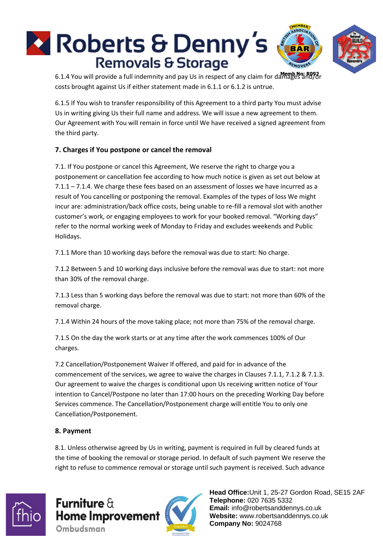

6.1.4 You will provide a full indemnity and pay Us in respect of any claim for damages and/or costs brought against Us if either statement made in 6.1.1 or 6.1.2 is untrue.

6.1.5 If You wish to transfer responsibility of this Agreement to a third party You must advise Us in writing giving Us their full name and address. We will issue a new agreement to them. Our Agreement with You will remain in force until We have received a signed agreement from the third party.

# **7. Charges if You postpone or cancel the removal**

7.1. If You postpone or cancel this Agreement, We reserve the right to charge you a postponement or cancellation fee according to how much notice is given as set out below at 7.1.1 – 7.1.4. We charge these fees based on an assessment of losses we have incurred as a result of You cancelling or postponing the removal. Examples of the types of loss We might incur are: administration/back office costs, being unable to re-fill a removal slot with another customer's work, or engaging employees to work for your booked removal. "Working days" refer to the normal working week of Monday to Friday and excludes weekends and Public Holidays.

7.1.1 More than 10 working days before the removal was due to start: No charge.

7.1.2 Between 5 and 10 working days inclusive before the removal was due to start: not more than 30% of the removal charge.

7.1.3 Less than 5 working days before the removal was due to start: not more than 60% of the removal charge.

7.1.4 Within 24 hours of the move taking place; not more than 75% of the removal charge.

7.1.5 On the day the work starts or at any time after the work commences 100% of Our charges.

7.2 Cancellation/Postponement Waiver If offered, and paid for in advance of the commencement of the services, we agree to waive the charges in Clauses 7.1.1, 7.1.2 & 7.1.3. Our agreement to waive the charges is conditional upon Us receiving written notice of Your intention to Cancel/Postpone no later than 17:00 hours on the preceding Working Day before Services commence. The Cancellation/Postponement charge will entitle You to only one Cancellation/Postponement.

# **8. Payment**

8.1. Unless otherwise agreed by Us in writing, payment is required in full by cleared funds at the time of booking the removal or storage period. In default of such payment We reserve the right to refuse to commence removal or storage until such payment is received. Such advance



Furniture  $\theta$ **Home Improvement** Ombudsman

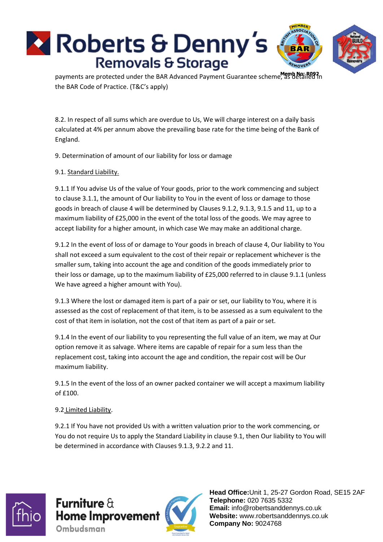

payments are protected under the BAR Advanced Payment Guarantee scheme, as detailed in the BAR Code of Practice. (T&C's apply)

8.2. In respect of all sums which are overdue to Us, We will charge interest on a daily basis calculated at 4% per annum above the prevailing base rate for the time being of the Bank of England.

9. Determination of amount of our liability for loss or damage

## 9.1. Standard Liability.

9.1.1 If You advise Us of the value of Your goods, prior to the work commencing and subject to clause 3.1.1, the amount of Our liability to You in the event of loss or damage to those goods in breach of clause 4 will be determined by Clauses 9.1.2, 9.1.3, 9.1.5 and 11, up to a maximum liability of £25,000 in the event of the total loss of the goods. We may agree to accept liability for a higher amount, in which case We may make an additional charge.

9.1.2 In the event of loss of or damage to Your goods in breach of clause 4, Our liability to You shall not exceed a sum equivalent to the cost of their repair or replacement whichever is the smaller sum, taking into account the age and condition of the goods immediately prior to their loss or damage, up to the maximum liability of £25,000 referred to in clause 9.1.1 (unless We have agreed a higher amount with You).

9.1.3 Where the lost or damaged item is part of a pair or set, our liability to You, where it is assessed as the cost of replacement of that item, is to be assessed as a sum equivalent to the cost of that item in isolation, not the cost of that item as part of a pair or set.

9.1.4 In the event of our liability to you representing the full value of an item, we may at Our option remove it as salvage. Where items are capable of repair for a sum less than the replacement cost, taking into account the age and condition, the repair cost will be Our maximum liability.

9.1.5 In the event of the loss of an owner packed container we will accept a maximum liability of £100.

#### 9.2 Limited Liability.

9.2.1 If You have not provided Us with a written valuation prior to the work commencing, or You do not require Us to apply the Standard Liability in clause 9.1, then Our liability to You will be determined in accordance with Clauses 9.1.3, 9.2.2 and 11.



**Furniture**  $\theta$ **Home Improvement** Ombudsman

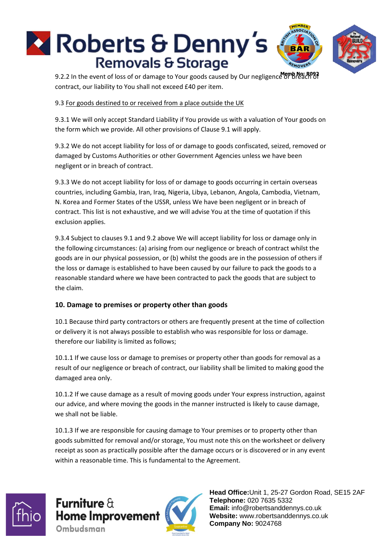

9.2.2 In the event of loss of or damage to Your goods caused by Our negligence or breach of contract, our liability to You shall not exceed £40 per item.

#### 9.3 For goods destined to or received from a place outside the UK

9.3.1 We will only accept Standard Liability if You provide us with a valuation of Your goods on the form which we provide. All other provisions of Clause 9.1 will apply.

9.3.2 We do not accept liability for loss of or damage to goods confiscated, seized, removed or damaged by Customs Authorities or other Government Agencies unless we have been negligent or in breach of contract.

9.3.3 We do not accept liability for loss of or damage to goods occurring in certain overseas countries, including Gambia, Iran, Iraq, Nigeria, Libya, Lebanon, Angola, Cambodia, Vietnam, N. Korea and Former States of the USSR, unless We have been negligent or in breach of contract. This list is not exhaustive, and we will advise You at the time of quotation if this exclusion applies.

9.3.4 Subject to clauses 9.1 and 9.2 above We will accept liability for loss or damage only in the following circumstances: (a) arising from our negligence or breach of contract whilst the goods are in our physical possession, or (b) whilst the goods are in the possession of others if the loss or damage is established to have been caused by our failure to pack the goods to a reasonable standard where we have been contracted to pack the goods that are subject to the claim.

#### **10. Damage to premises or property other than goods**

10.1 Because third party contractors or others are frequently present at the time of collection or delivery it is not always possible to establish who was responsible for loss or damage. therefore our liability is limited as follows;

10.1.1 If we cause loss or damage to premises or property other than goods for removal as a result of our negligence or breach of contract, our liability shall be limited to making good the damaged area only.

10.1.2 If we cause damage as a result of moving goods under Your express instruction, against our advice, and where moving the goods in the manner instructed is likely to cause damage, we shall not be liable.

10.1.3 If we are responsible for causing damage to Your premises or to property other than goods submitted for removal and/or storage, You must note this on the worksheet or delivery receipt as soon as practically possible after the damage occurs or is discovered or in any event within a reasonable time. This is fundamental to the Agreement.



**Furniture**  $\theta$ **Home Improvement** Ombudsman

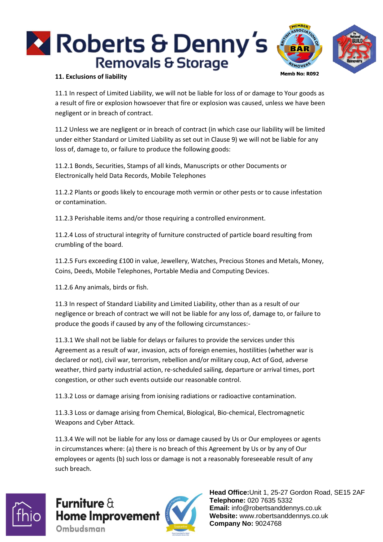

#### **11. Exclusions of liability**

11.1 In respect of Limited Liability, we will not be liable for loss of or damage to Your goods as a result of fire or explosion howsoever that fire or explosion was caused, unless we have been negligent or in breach of contract.

11.2 Unless we are negligent or in breach of contract (in which case our liability will be limited under either Standard or Limited Liability as set out in Clause 9) we will not be liable for any loss of, damage to, or failure to produce the following goods:

11.2.1 Bonds, Securities, Stamps of all kinds, Manuscripts or other Documents or Electronically held Data Records, Mobile Telephones

11.2.2 Plants or goods likely to encourage moth vermin or other pests or to cause infestation or contamination.

11.2.3 Perishable items and/or those requiring a controlled environment.

11.2.4 Loss of structural integrity of furniture constructed of particle board resulting from crumbling of the board.

11.2.5 Furs exceeding £100 in value, Jewellery, Watches, Precious Stones and Metals, Money, Coins, Deeds, Mobile Telephones, Portable Media and Computing Devices.

11.2.6 Any animals, birds or fish.

11.3 In respect of Standard Liability and Limited Liability, other than as a result of our negligence or breach of contract we will not be liable for any loss of, damage to, or failure to produce the goods if caused by any of the following circumstances:-

11.3.1 We shall not be liable for delays or failures to provide the services under this Agreement as a result of war, invasion, acts of foreign enemies, hostilities (whether war is declared or not), civil war, terrorism, rebellion and/or military coup, Act of God, adverse weather, third party industrial action, re-scheduled sailing, departure or arrival times, port congestion, or other such events outside our reasonable control.

11.3.2 Loss or damage arising from ionising radiations or radioactive contamination.

11.3.3 Loss or damage arising from Chemical, Biological, Bio-chemical, Electromagnetic Weapons and Cyber Attack.

11.3.4 We will not be liable for any loss or damage caused by Us or Our employees or agents in circumstances where: (a) there is no breach of this Agreement by Us or by any of Our employees or agents (b) such loss or damage is not a reasonably foreseeable result of any such breach.



Furniture  $\theta$ **Home Improvement** Ombudsman

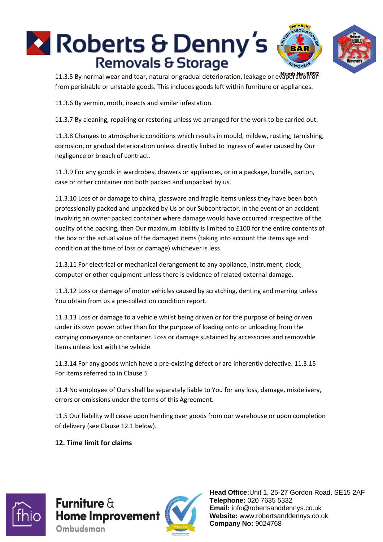

11.3.5 By normal wear and tear, natural or gradual deterioration, leakage or evaporation or from perishable or unstable goods. This includes goods left within furniture or appliances.

11.3.6 By vermin, moth, insects and similar infestation.

11.3.7 By cleaning, repairing or restoring unless we arranged for the work to be carried out.

11.3.8 Changes to atmospheric conditions which results in mould, mildew, rusting, tarnishing, corrosion, or gradual deterioration unless directly linked to ingress of water caused by Our negligence or breach of contract.

11.3.9 For any goods in wardrobes, drawers or appliances, or in a package, bundle, carton, case or other container not both packed and unpacked by us.

11.3.10 Loss of or damage to china, glassware and fragile items unless they have been both professionally packed and unpacked by Us or our Subcontractor. In the event of an accident involving an owner packed container where damage would have occurred irrespective of the quality of the packing, then Our maximum liability is limited to £100 for the entire contents of the box or the actual value of the damaged items (taking into account the items age and condition at the time of loss or damage) whichever is less.

11.3.11 For electrical or mechanical derangement to any appliance, instrument, clock, computer or other equipment unless there is evidence of related external damage.

11.3.12 Loss or damage of motor vehicles caused by scratching, denting and marring unless You obtain from us a pre-collection condition report.

11.3.13 Loss or damage to a vehicle whilst being driven or for the purpose of being driven under its own power other than for the purpose of loading onto or unloading from the carrying conveyance or container. Loss or damage sustained by accessories and removable items unless lost with the vehicle

11.3.14 For any goods which have a pre-existing defect or are inherently defective. 11.3.15 For items referred to in Clause 5

11.4 No employee of Ours shall be separately liable to You for any loss, damage, misdelivery, errors or omissions under the terms of this Agreement.

11.5 Our liability will cease upon handing over goods from our warehouse or upon completion of delivery (see Clause 12.1 below).

#### **12. Time limit for claims**



**Furniture**  $\theta$ **Home Improvement** Ombudsman

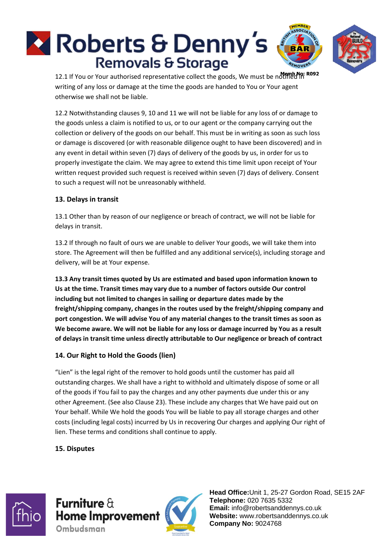

12.1 If You or Your authorised representative collect the goods, We must be notified in writing of any loss or damage at the time the goods are handed to You or Your agent otherwise we shall not be liable.

12.2 Notwithstanding clauses 9, 10 and 11 we will not be liable for any loss of or damage to the goods unless a claim is notified to us, or to our agent or the company carrying out the collection or delivery of the goods on our behalf. This must be in writing as soon as such loss or damage is discovered (or with reasonable diligence ought to have been discovered) and in any event in detail within seven (7) days of delivery of the goods by us, in order for us to properly investigate the claim. We may agree to extend this time limit upon receipt of Your written request provided such request is received within seven (7) days of delivery. Consent to such a request will not be unreasonably withheld.

#### **13. Delays in transit**

13.1 Other than by reason of our negligence or breach of contract, we will not be liable for delays in transit.

13.2 If through no fault of ours we are unable to deliver Your goods, we will take them into store. The Agreement will then be fulfilled and any additional service(s), including storage and delivery, will be at Your expense.

**13.3 Any transit times quoted by Us are estimated and based upon information known to Us at the time. Transit times may vary due to a number of factors outside Our control including but not limited to changes in sailing or departure dates made by the freight/shipping company, changes in the routes used by the freight/shipping company and port congestion. We will advise You of any material changes to the transit times as soon as We become aware. We will not be liable for any loss or damage incurred by You as a result of delays in transit time unless directly attributable to Our negligence or breach of contract**

#### **14. Our Right to Hold the Goods (lien)**

"Lien" is the legal right of the remover to hold goods until the customer has paid all outstanding charges. We shall have a right to withhold and ultimately dispose of some or all of the goods if You fail to pay the charges and any other payments due under this or any other Agreement. (See also Clause 23). These include any charges that We have paid out on Your behalf. While We hold the goods You will be liable to pay all storage charges and other costs (including legal costs) incurred by Us in recovering Our charges and applying Our right of lien. These terms and conditions shall continue to apply.

# **15. Disputes**



**Furniture**  $\theta$ **Home Improvement** Ombudsman

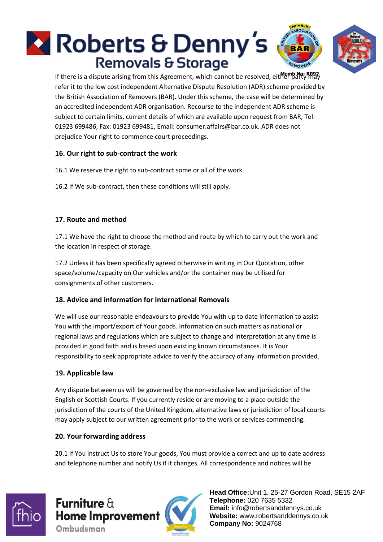# **X** Roberts & Denny's **Removals & Storage**

If there is a dispute arising from this Agreement, which cannot be resolved, either party may refer it to the low cost independent Alternative Dispute Resolution (ADR) scheme provided by the British Association of Removers (BAR). Under this scheme, the case will be determined by an accredited independent ADR organisation. Recourse to the independent ADR scheme is subject to certain limits, current details of which are available upon request from BAR, Tel: 01923 699486, Fax: 01923 699481, Email: consumer.affairs@bar.co.uk. ADR does not prejudice Your right to commence court proceedings.

# **16. Our right to sub-contract the work**

16.1 We reserve the right to sub-contract some or all of the work.

16.2 If We sub-contract, then these conditions will still apply.

#### **17. Route and method**

17.1 We have the right to choose the method and route by which to carry out the work and the location in respect of storage.

17.2 Unless it has been specifically agreed otherwise in writing in Our Quotation, other space/volume/capacity on Our vehicles and/or the container may be utilised for consignments of other customers.

#### **18. Advice and information for International Removals**

We will use our reasonable endeavours to provide You with up to date information to assist You with the import/export of Your goods. Information on such matters as national or regional laws and regulations which are subject to change and interpretation at any time is provided in good faith and is based upon existing known circumstances. It is Your responsibility to seek appropriate advice to verify the accuracy of any information provided.

#### **19. Applicable law**

Any dispute between us will be governed by the non-exclusive law and jurisdiction of the English or Scottish Courts. If you currently reside or are moving to a place outside the jurisdiction of the courts of the United Kingdom, alternative laws or jurisdiction of local courts may apply subject to our written agreement prior to the work or services commencing.

#### **20. Your forwarding address**

20.1 If You instruct Us to store Your goods, You must provide a correct and up to date address and telephone number and notify Us if it changes. All correspondence and notices will be



# Furniture  $\theta$ **Home Improvement** Ombudsman